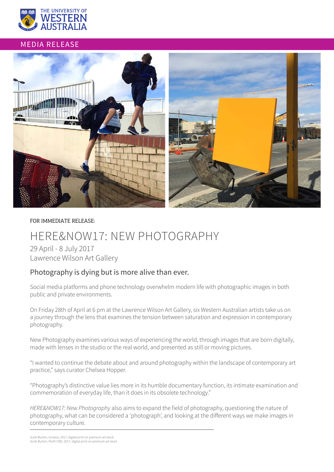

## MEDIA RELEASE



#### FOR IMMEDIATE RELEASE:

# HERE&NOW17: NEW PHOTOGRAPHY

29 April - 8 July 2017 Lawrence Wilson Art Gallery

## Photography is dying but is more alive than ever.

Social media platforms and phone technology overwhelm modern life with photographic images in both public and private environments.

On Friday 28th of April at 6 pm at the Lawrence Wilson Art Gallery, six Western Australian artists take us on a journey through the lens that examines the tension between saturation and expression in contemporary photography.

New Photography examines various ways of experiencing the world, through images that are born digitally, made with lenses in the studio or the real world, and presented as still or moving pictures.

"I wanted to continue the debate about and around photography within the landscape of contemporary art practice," says curator Chelsea Hopper.

"Photography's distinctive value lies more in its humble documentary function, its intimate examination and commemoration of everyday life, than it does in its obsolete technology."

*HERE&NOW17: New Photography* also aims to expand the field of photography, questioning the nature of photography, what can be considered a 'photograph', and looking at the different ways we make images in contemporary culture.

Scott Burton, Innaloo, 2017, digital print on premium art stock Scott Burton, Perth CBD, 2017, digital print on premium art stock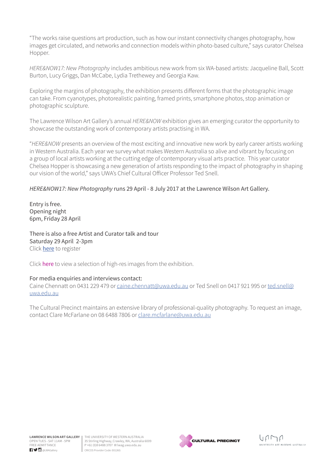"The works raise questions art production, such as how our instant connectivity changes photography, how images get circulated, and networks and connection models within photo-based culture," says curator Chelsea Hopper.

*HERE&NOW17: New Photography* includes ambitious new work from six WA-based artists: Jacqueline Ball, Scott Burton, Lucy Griggs, Dan McCabe, Lydia Trethewey and Georgia Kaw.

Exploring the margins of photography, the exhibition presents different forms that the photographic image can take. From cyanotypes, photorealistic painting, framed prints, smartphone photos, stop animation or photographic sculpture.

The Lawrence Wilson Art Gallery's annual *HERE&NOW* exhibition gives an emerging curator the opportunity to showcase the outstanding work of contemporary artists practising in WA.

"*HERE&NOW* presents an overview of the most exciting and innovative new work by early career artists working in Western Australia. Each year we survey what makes Western Australia so alive and vibrant by focusing on a group of local artists working at the cutting edge of contemporary visual arts practice. This year curator Chelsea Hopper is showcasing a new generation of artists responding to the impact of photography in shaping our vision of the world," says UWA's Chief Cultural Officer Professor Ted Snell.

## *HERE&NOW17: New Photography* runs 29 April - 8 July 2017 at the Lawrence Wilson Art Gallery.

Entry is free. Opening night 6pm, Friday 28 April

There is also a free Artist and Curator talk and tour Saturday 29 April 2-3pm Click [here](https://www.eventbrite.com.au/e/herenow17-artists-and-curators-talk-and-tour-registration-33389192975?aff=lwagweb) to register

Click [here](https://www.dropbox.com/sh/5ewyf7zupms4luz/AABZXsU8yYigHbJ2DeH1bZiEa?dl=0) to view a selection of high-res images from the exhibition.

### For media enquiries and interviews contact:

Caine Chennatt on 0431 229 479 or [caine.chennatt@uwa.edu.au](mailto:caine.chennatt%40uwa.edu.au?subject=) or Ted Snell on 0417 921 995 or [ted.snell@](mailto:ted.snell%40uwa.edu.au?subject=) [uwa.edu.au](mailto:ted.snell%40uwa.edu.au?subject=)

The Cultural Precinct maintains an extensive library of professional-quality photography. To request an image, contact Clare McFarlane on 08 6488 7806 or [clare.mcfarlane@uwa.edu.au](mailto:clare.mcfarlane%40uwa.edu.au?subject=)

![](_page_1_Picture_14.jpeg)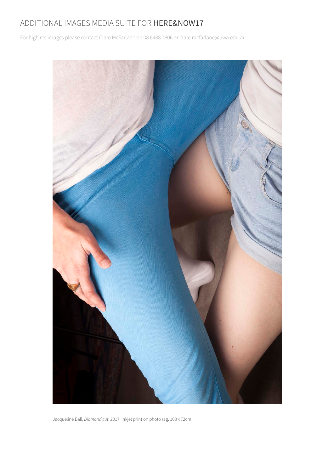## ADDITIONAL IMAGES MEDIA SUITE FOR HERE&NOW17

For high res images please contact Clare McFarlane on 08 6488 7806 or clare.mcfarlane@uwa.edu.au

![](_page_2_Picture_2.jpeg)

Jacqueline Ball, *Diamond cut*, 2017, inkjet print on photo rag, 108 x 72cm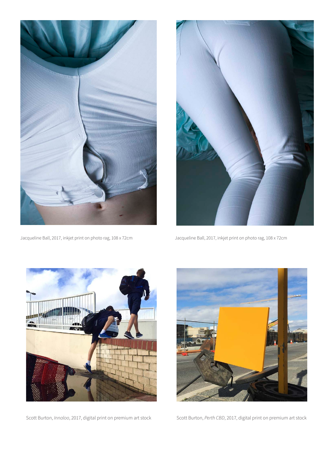![](_page_3_Picture_0.jpeg)

![](_page_3_Picture_2.jpeg)

Jacqueline Ball, 2017, inkjet print on photo rag, 108 x 72cm Jacqueline Ball, 2017, inkjet print on photo rag, 108 x 72cm

![](_page_3_Picture_4.jpeg)

Scott Burton, *Innaloo*, 2017, digital print on premium art stock

![](_page_3_Picture_6.jpeg)

Scott Burton, *Perth CBD*, 2017, digital print on premium art stock